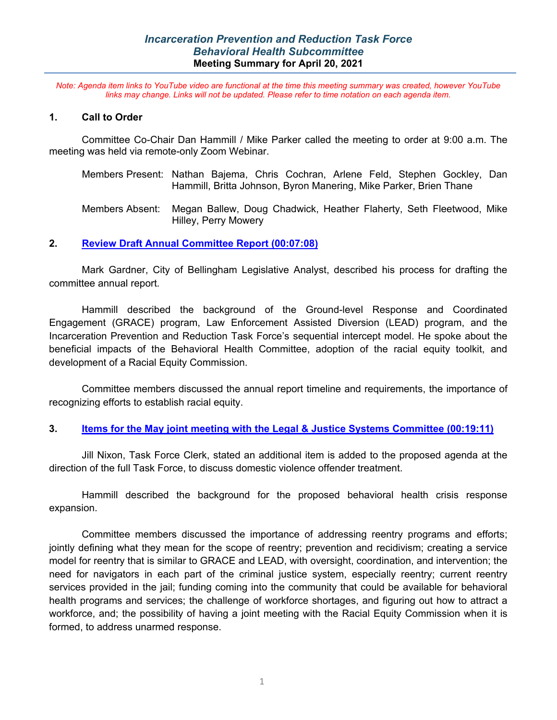# *Incarceration Prevention and Reduction Task Force Behavioral Health Subcommittee* **Meeting Summary for April 20, 2021**

*Note: Agenda item links to YouTube video are functional at the time this meeting summary was created, however YouTube links may change. Links will not be updated. Please refer to time notation on each agenda item.*

#### **1. Call to Order**

Committee Co-Chair Dan Hammill / Mike Parker called the meeting to order at 9:00 a.m. The meeting was held via remote-only Zoom Webinar.

- Members Present: Nathan Bajema, Chris Cochran, Arlene Feld, Stephen Gockley, Dan Hammill, Britta Johnson, Byron Manering, Mike Parker, Brien Thane
- Members Absent: Megan Ballew, Doug Chadwick, Heather Flaherty, Seth Fleetwood, Mike Hilley, Perry Mowery

### **2. [Review Draft Annual Committee Report](https://youtu.be/T76ikq3acX0?t=428) (00:07:08)**

Mark Gardner, City of Bellingham Legislative Analyst, described his process for drafting the committee annual report.

Hammill described the background of the Ground-level Response and Coordinated Engagement (GRACE) program, Law Enforcement Assisted Diversion (LEAD) program, and the Incarceration Prevention and Reduction Task Force's sequential intercept model. He spoke about the beneficial impacts of the Behavioral Health Committee, adoption of the racial equity toolkit, and development of a Racial Equity Commission.

Committee members discussed the annual report timeline and requirements, the importance of recognizing efforts to establish racial equity.

#### **3. [Items for the May joint meeting with the Legal & Justice Systems Committee](https://youtu.be/T76ikq3acX0?t=1150) (00:19:11)**

Jill Nixon, Task Force Clerk, stated an additional item is added to the proposed agenda at the direction of the full Task Force, to discuss domestic violence offender treatment.

Hammill described the background for the proposed behavioral health crisis response expansion.

Committee members discussed the importance of addressing reentry programs and efforts; jointly defining what they mean for the scope of reentry; prevention and recidivism; creating a service model for reentry that is similar to GRACE and LEAD, with oversight, coordination, and intervention; the need for navigators in each part of the criminal justice system, especially reentry; current reentry services provided in the jail; funding coming into the community that could be available for behavioral health programs and services; the challenge of workforce shortages, and figuring out how to attract a workforce, and; the possibility of having a joint meeting with the Racial Equity Commission when it is formed, to address unarmed response.